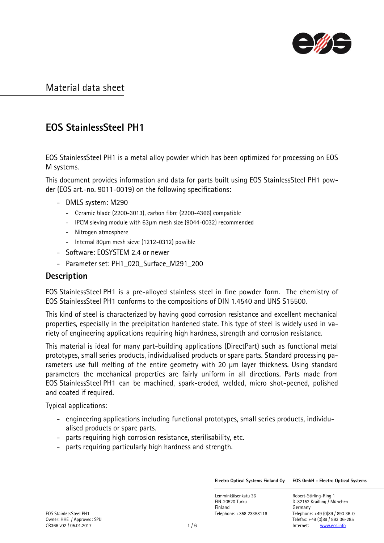

# EOS StainlessSteel PH1

EOS StainlessSteel PH1 is a metal alloy powder which has been optimized for processing on EOS M systems.

This document provides information and data for parts built using EOS StainlessSteel PH1 powder (EOS art.-no. 9011-0019) on the following specifications:

- DMLS system: M290
	- Ceramic blade (2200-3013), carbon fibre (2200-4366) compatible
	- IPCM sieving module with 63µm mesh size (9044-0032) recommended
	- Nitrogen atmosphere
	- Internal 80µm mesh sieve (1212-0312) possible
- Software: EOSYSTEM 2.4 or newer
- Parameter set: PH1\_020\_Surface\_M291\_200

#### **Description**

EOS StainlessSteel PH1 is a pre-alloyed stainless steel in fine powder form. The chemistry of EOS StainlessSteel PH1 conforms to the compositions of DIN 1.4540 and UNS S15500.

This kind of steel is characterized by having good corrosion resistance and excellent mechanical properties, especially in the precipitation hardened state. This type of steel is widely used in variety of engineering applications requiring high hardness, strength and corrosion resistance.

This material is ideal for many part-building applications (DirectPart) such as functional metal prototypes, small series products, individualised products or spare parts. Standard processing parameters use full melting of the entire geometry with 20 µm layer thickness. Using standard parameters the mechanical properties are fairly uniform in all directions. Parts made from EOS StainlessSteel PH1 can be machined, spark-eroded, welded, micro shot-peened, polished and coated if required.

Typical applications:

- engineering applications including functional prototypes, small series products, individualised products or spare parts.
- parts requiring high corrosion resistance, sterilisability, etc.
- parts requiring particularly high hardness and strength.

Electro Optical Systems Finland Oy EOS GmbH - Electro Optical Systems

Lemminkäisenkatu 36 Robert-Stirling-Ring 1 FIN-20520 Turku D-82152 Krailling / München Finland Germany

EOS StainlessSteel PH1 Telephone: +358 23358116 Telephone: +49 (0)89 / 893 36-0 Owner: HHE / Approved: SPU Telefax: +49 (0)89 / 893 36-285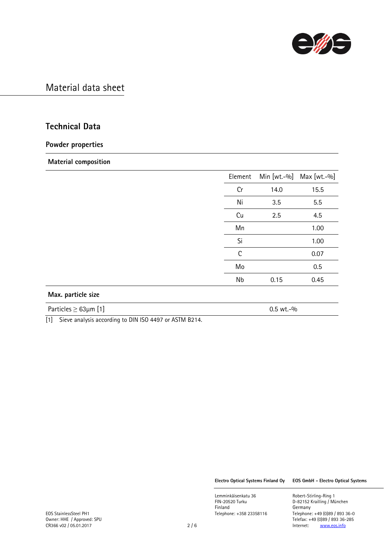

### Technical Data

#### Powder properties

#### Material composition

|                    | Element      |      | Min [wt.-%] Max [wt.-%] |
|--------------------|--------------|------|-------------------------|
|                    | Cr           | 14.0 | 15.5                    |
|                    | Ni           | 3.5  | 5.5                     |
|                    | Cu           | 2.5  | 4.5                     |
|                    | Mn           |      | 1.00                    |
|                    | Si           |      | 1.00                    |
|                    | $\mathsf{C}$ |      | 0.07                    |
|                    | Mo           |      | 0.5                     |
|                    | Nb           | 0.15 | 0.45                    |
| Max. particle size |              |      |                         |

Particles  $\geq 63\mu$ m [1] 0.5 wt.-%

[1] Sieve analysis according to DIN ISO 4497 or ASTM B214.

Electro Optical Systems Finland Oy EOS GmbH - Electro Optical Systems

Lemminkäisenkatu 36 Robert-Stirling-Ring 1<br>FIN-20520 Turku 1988 Robert-Stirling / Mi FIN-20520 Turku D-82152 Krailling / München Finland Germany<br>Telephone: +358 23358116 Telephone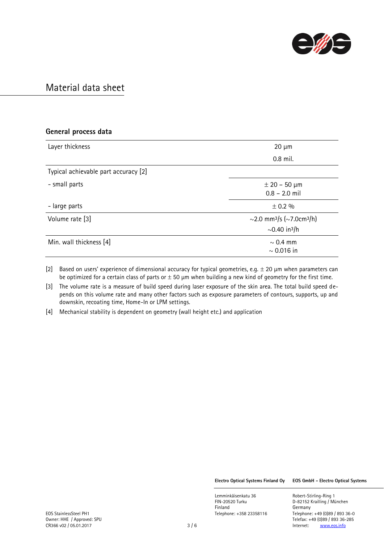

| General process data                 |                                                                                    |
|--------------------------------------|------------------------------------------------------------------------------------|
| Layer thickness                      | $20 \mu m$                                                                         |
|                                      | 0.8 mil.                                                                           |
| Typical achievable part accuracy [2] |                                                                                    |
| - small parts                        | $± 20 - 50 \mu m$<br>$0.8 - 2.0$ mil                                               |
| - large parts                        | $\pm$ 0.2 %                                                                        |
| Volume rate [3]                      | ~2.0 mm <sup>3</sup> /s (~7.0cm <sup>3</sup> /h)<br>$\sim$ 0.40 in <sup>3</sup> /h |
| Min. wall thickness [4]              | $\sim$ 0.4 mm<br>$\sim 0.016$ in                                                   |

[2] Based on users' experience of dimensional accuracy for typical geometries, e.g.  $\pm$  20  $\mu$ m when parameters can be optimized for a certain class of parts or  $\pm$  50 µm when building a new kind of geometry for the first time.

[3] The volume rate is a measure of build speed during laser exposure of the skin area. The total build speed depends on this volume rate and many other factors such as exposure parameters of contours, supports, up and downskin, recoating time, Home-In or LPM settings.

[4] Mechanical stability is dependent on geometry (wall height etc.) and application

Electro Optical Systems Finland Oy EOS GmbH - Electro Optical Systems

D-82152 Krailling / München

Lemminkäisenkatu 36 **Robert-Stirling-Ring 1**<br>FIN-20520 Turku **1988 ELE**D-82152 Krailling / Mi Finland Germany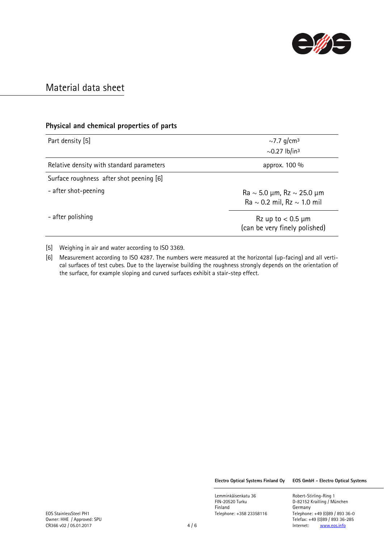

### Physical and chemical properties of parts

| Part density [5]                          | $\sim$ 7.7 g/cm <sup>3</sup>                                                                                          |
|-------------------------------------------|-----------------------------------------------------------------------------------------------------------------------|
|                                           | $\sim$ 0.27 lb/in <sup>3</sup>                                                                                        |
| Relative density with standard parameters | approx. 100 %                                                                                                         |
| Surface roughness after shot peening [6]  |                                                                                                                       |
| - after shot-peening                      | $\text{Ra} \sim 5.0 \text{ }\mu\text{m}$ , Rz $\sim 25.0 \text{ }\mu\text{m}$<br>Ra $\sim$ 0.2 mil, Rz $\sim$ 1.0 mil |
| - after polishing                         | $Rz$ up to $< 0.5$ µm<br>(can be very finely polished)                                                                |

[5] Weighing in air and water according to ISO 3369.

[6] Measurement according to ISO 4287. The numbers were measured at the horizontal (up-facing) and all vertical surfaces of test cubes. Due to the layerwise building the roughness strongly depends on the orientation of the surface, for example sloping and curved surfaces exhibit a stair-step effect.

Electro Optical Systems Finland Oy EOS GmbH - Electro Optical Systems

D-82152 Krailling / München

Lemminkäisenkatu 36 Robert-Stirling-Ring 1<br>FIN-20520 Turku 1988 Robert-Stirling / Mi Finland Germany<br>Telephone: +358 23358116 Telephone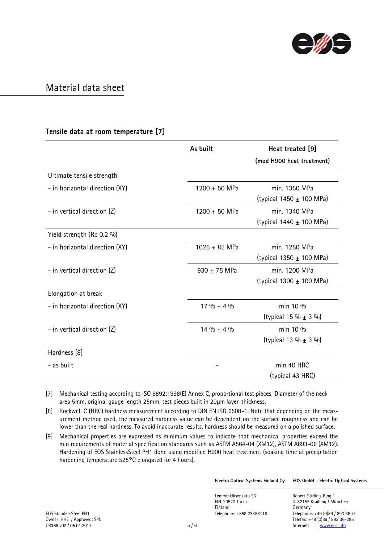

#### Tensile data at room temperature [7]

|                                | As built          | Heat treated [9]             |
|--------------------------------|-------------------|------------------------------|
|                                |                   | (mod H900 heat treatment)    |
| Ultimate tensile strength      |                   |                              |
| - in horizontal direction (XY) | 1200 ± 50 MPa     | min. 1350 MPa                |
|                                |                   | (typical 1450 $\pm$ 100 MPa) |
| - in vertical direction (Z)    | 1200 $\pm$ 50 MPa | min. 1340 MPa                |
|                                |                   | (typical $1440 \pm 100$ MPa) |
| Yield strength (Rp 0.2 %)      |                   |                              |
| - in horizontal direction (XY) | 1025 $\pm$ 85 MPa | min. 1250 MPa                |
|                                |                   | (typical 1350 $\pm$ 100 MPa) |
| - in vertical direction (Z)    | 930 $\pm$ 75 MPa  | min. 1200 MPa                |
|                                |                   | (typical 1300 $\pm$ 100 MPa) |
| Elongation at break            |                   |                              |
| - in horizontal direction (XY) | 17 % $\pm$ 4 %    | min 10 %                     |
|                                |                   | (typical 15 % $\pm$ 3 %)     |
| - in vertical direction (Z)    | $14\% \pm 4\%$    | min 10 %                     |
|                                |                   | (typical 13 % $\pm$ 3 %)     |
| Hardness [8]                   |                   |                              |
| - as built                     |                   | min 40 HRC                   |
|                                |                   | (typical 43 HRC)             |

[7] Mechanical testing according to ISO 6892:1998(E) Annex C, proportional test pieces, Diameter of the neck area 5mm, original gauge length 25mm, test pieces built in 20µm layer-thickness.

[8] Rockwell C (HRC) hardness measurement according to DIN EN ISO 6508-1. Note that depending on the measurement method used, the measured hardness value can be dependent on the surface roughness and can be lower than the real hardness. To avoid inaccurate results, hardness should be measured on a polished surface.

[9] Mechanical properties are expressed as minimum values to indicate that mechanical properties exceed the min requirements of material specification standards such as ASTM A564-04 (XM12), ASTM A693-06 (XM12). Hardening of EOS StainlessSteel PH1 done using modified H900 heat treatment (soaking time at precipitation hardening temperature 525°C elongated for 4 hours).

Electro Optical Systems Finland Oy EOS GmbH - Electro Optical Systems

Lemminkäisenkatu 36 Robert-Stirling-Ring 1 FIN-20520 Turku D-82152 Krailling / München Finland Germany

EOS StainlessSteel PH1 Telephone: +358 23358116 Telephone: +49 (0)89 / 893 36-0 Telefax: +49 (0)89 / 893 36-285<br>5 / 6 <br>Telefax: +49 (0)89 / 893 36-285<br>Internet: www.eos.info